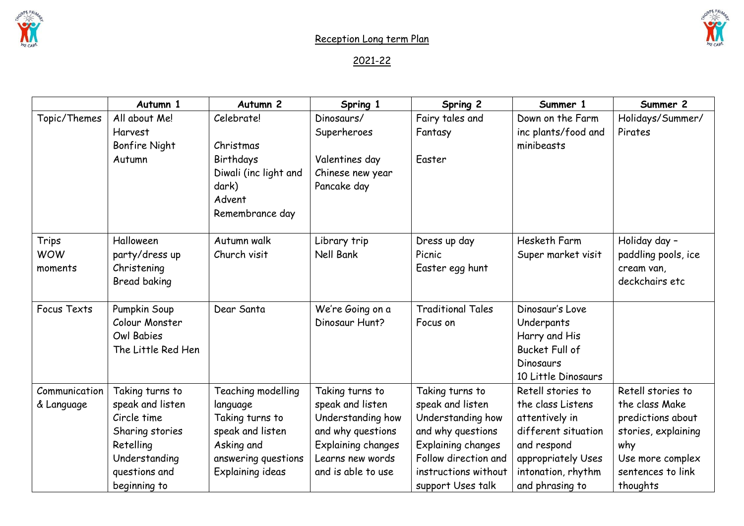

## 2021-22

|               | Autumn 1             | Autumn <sub>2</sub>   | Spring 1           | Spring 2                  | Summer 1              | Summer 2            |
|---------------|----------------------|-----------------------|--------------------|---------------------------|-----------------------|---------------------|
| Topic/Themes  | All about Me!        | Celebrate!            | Dinosaurs/         | Fairy tales and           | Down on the Farm      | Holidays/Summer/    |
|               | Harvest              |                       | Superheroes        | Fantasy                   | inc plants/food and   | Pirates             |
|               | <b>Bonfire Night</b> | Christmas             |                    |                           | minibeasts            |                     |
|               | Autumn               | Birthdays             | Valentines day     | Easter                    |                       |                     |
|               |                      | Diwali (inc light and | Chinese new year   |                           |                       |                     |
|               |                      | dark)                 | Pancake day        |                           |                       |                     |
|               |                      | Advent                |                    |                           |                       |                     |
|               |                      | Remembrance day       |                    |                           |                       |                     |
| Trips         | Halloween            | Autumn walk           | Library trip       | Dress up day              | Hesketh Farm          | Holiday day -       |
| <b>WOW</b>    | party/dress up       | Church visit          | Nell Bank          | Picnic                    | Super market visit    | paddling pools, ice |
| moments       | Christening          |                       |                    | Easter egg hunt           |                       | cream van,          |
|               | Bread baking         |                       |                    |                           |                       | deckchairs etc      |
|               |                      |                       |                    |                           |                       |                     |
| Focus Texts   | Pumpkin Soup         | Dear Santa            | We're Going on a   | <b>Traditional Tales</b>  | Dinosaur's Love       |                     |
|               | Colour Monster       |                       | Dinosaur Hunt?     | Focus on                  | Underpants            |                     |
|               | <b>Owl Babies</b>    |                       |                    |                           | Harry and His         |                     |
|               | The Little Red Hen   |                       |                    |                           | <b>Bucket Full of</b> |                     |
|               |                      |                       |                    |                           | Dinosaurs             |                     |
|               |                      |                       |                    |                           | 10 Little Dinosaurs   |                     |
| Communication | Taking turns to      | Teaching modelling    | Taking turns to    | Taking turns to           | Retell stories to     | Retell stories to   |
| & Language    | speak and listen     | language              | speak and listen   | speak and listen          | the class Listens     | the class Make      |
|               | Circle time          | Taking turns to       | Understanding how  | Understanding how         | attentively in        | predictions about   |
|               | Sharing stories      | speak and listen      | and why questions  | and why questions         | different situation   | stories, explaining |
|               | Retelling            | Asking and            | Explaining changes | <b>Explaining changes</b> | and respond           | why                 |
|               | Understanding        | answering questions   | Learns new words   | Follow direction and      | appropriately Uses    | Use more complex    |
|               | questions and        | Explaining ideas      | and is able to use | instructions without      | intonation, rhythm    | sentences to link   |
|               | beginning to         |                       |                    | support Uses talk         | and phrasing to       | thoughts            |

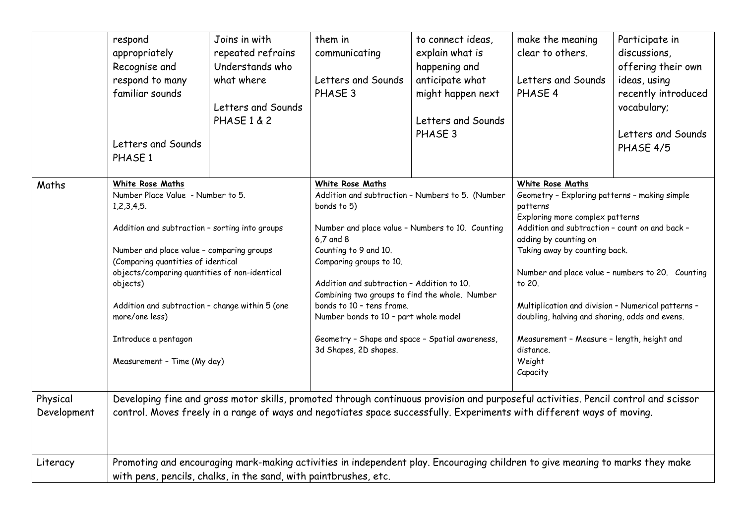|                         | respond<br>appropriately<br>Recognise and<br>respond to many<br>familiar sounds<br>Letters and Sounds<br>PHASE 1                                                                                                                                              | Joins in with<br>repeated refrains<br>Understands who<br>what where<br>Letters and Sounds<br><b>PHASE 1 &amp; 2</b>                                                                                                                                                        | them in<br>communicating<br>Letters and Sounds<br>PHASE 3 | to connect ideas,<br>explain what is<br>happening and<br>anticipate what<br>might happen next<br>Letters and Sounds<br>PHASE 3                                                                                                                                                                                                                                                                                                                             | make the meaning<br>clear to others.<br>Letters and Sounds<br>PHASE 4 | Participate in<br>discussions,<br>offering their own<br>ideas, using<br>recently introduced<br>vocabulary;<br>Letters and Sounds<br>PHASE 4/5                                                                                                                                                                                                                                                                                                                                       |  |
|-------------------------|---------------------------------------------------------------------------------------------------------------------------------------------------------------------------------------------------------------------------------------------------------------|----------------------------------------------------------------------------------------------------------------------------------------------------------------------------------------------------------------------------------------------------------------------------|-----------------------------------------------------------|------------------------------------------------------------------------------------------------------------------------------------------------------------------------------------------------------------------------------------------------------------------------------------------------------------------------------------------------------------------------------------------------------------------------------------------------------------|-----------------------------------------------------------------------|-------------------------------------------------------------------------------------------------------------------------------------------------------------------------------------------------------------------------------------------------------------------------------------------------------------------------------------------------------------------------------------------------------------------------------------------------------------------------------------|--|
| Maths                   | White Rose Maths<br>1,2,3,4,5.<br>objects)<br>more/one less)<br>Introduce a pentagon<br>Measurement - Time (My day)                                                                                                                                           | Number Place Value - Number to 5.<br>Addition and subtraction - sorting into groups<br>Number and place value - comparing groups<br>(Comparing quantities of identical<br>objects/comparing quantities of non-identical<br>Addition and subtraction - change within 5 (one |                                                           | White Rose Maths<br>Addition and subtraction - Numbers to 5. (Number<br>bonds to 5)<br>Number and place value - Numbers to 10. Counting<br>6,7 and 8<br>Counting to 9 and 10.<br>Comparing groups to 10.<br>Addition and subtraction - Addition to 10.<br>Combining two groups to find the whole. Number<br>bonds to 10 - tens frame.<br>Number bonds to 10 - part whole model<br>Geometry - Shape and space - Spatial awareness,<br>3d Shapes, 2D shapes. |                                                                       | White Rose Maths<br>Geometry - Exploring patterns - making simple<br>patterns<br>Exploring more complex patterns<br>Addition and subtraction - count on and back -<br>adding by counting on<br>Taking away by counting back.<br>Number and place value - numbers to 20. Counting<br>to 20.<br>Multiplication and division - Numerical patterns -<br>doubling, halving and sharing, odds and evens.<br>Measurement - Measure - length, height and<br>distance.<br>Weight<br>Capacity |  |
| Physical<br>Development | Developing fine and gross motor skills, promoted through continuous provision and purposeful activities. Pencil control and scissor<br>control. Moves freely in a range of ways and negotiates space successfully. Experiments with different ways of moving. |                                                                                                                                                                                                                                                                            |                                                           |                                                                                                                                                                                                                                                                                                                                                                                                                                                            |                                                                       |                                                                                                                                                                                                                                                                                                                                                                                                                                                                                     |  |
| Literacy                | Promoting and encouraging mark-making activities in independent play. Encouraging children to give meaning to marks they make<br>with pens, pencils, chalks, in the sand, with paintbrushes, etc.                                                             |                                                                                                                                                                                                                                                                            |                                                           |                                                                                                                                                                                                                                                                                                                                                                                                                                                            |                                                                       |                                                                                                                                                                                                                                                                                                                                                                                                                                                                                     |  |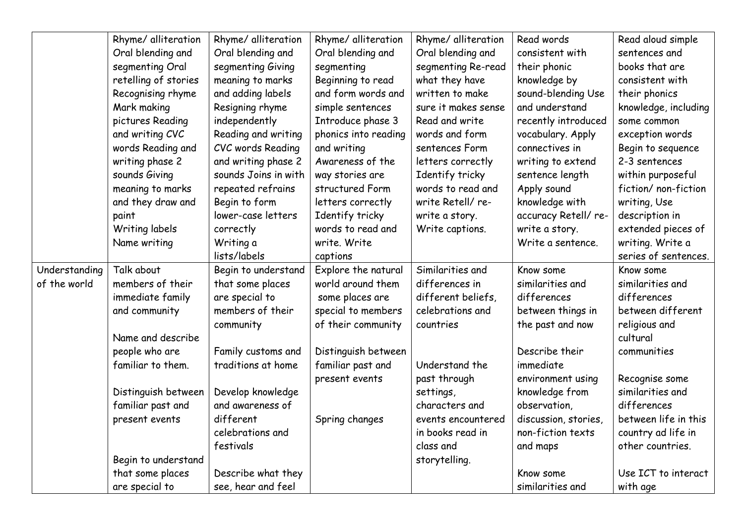|               | Rhyme/ alliteration  | Rhyme/ alliteration  | Rhyme/ alliteration  | Rhyme/ alliteration | Read words           | Read aloud simple    |
|---------------|----------------------|----------------------|----------------------|---------------------|----------------------|----------------------|
|               | Oral blending and    | Oral blending and    | Oral blending and    | Oral blending and   | consistent with      | sentences and        |
|               | segmenting Oral      | segmenting Giving    | segmenting           | segmenting Re-read  | their phonic         | books that are       |
|               | retelling of stories | meaning to marks     | Beginning to read    | what they have      | knowledge by         | consistent with      |
|               | Recognising rhyme    | and adding labels    | and form words and   | written to make     | sound-blending Use   | their phonics        |
|               | Mark making          | Resigning rhyme      | simple sentences     | sure it makes sense | and understand       | knowledge, including |
|               | pictures Reading     | independently        | Introduce phase 3    | Read and write      | recently introduced  | some common          |
|               | and writing CVC      | Reading and writing  | phonics into reading | words and form      | vocabulary. Apply    | exception words      |
|               | words Reading and    | CVC words Reading    | and writing          | sentences Form      | connectives in       | Begin to sequence    |
|               | writing phase 2      | and writing phase 2  | Awareness of the     | letters correctly   | writing to extend    | 2-3 sentences        |
|               | sounds Giving        | sounds Joins in with | way stories are      | Identify tricky     | sentence length      | within purposeful    |
|               | meaning to marks     | repeated refrains    | structured Form      | words to read and   | Apply sound          | fiction/ non-fiction |
|               | and they draw and    | Begin to form        | letters correctly    | write Retell/re-    | knowledge with       | writing, Use         |
|               | paint                | lower-case letters   | Identify tricky      | write a story.      | accuracy Retell/ re- | description in       |
|               | Writing labels       | correctly            | words to read and    | Write captions.     | write a story.       | extended pieces of   |
|               | Name writing         | Writing a            | write. Write         |                     | Write a sentence.    | writing. Write a     |
|               |                      | lists/labels         | captions             |                     |                      | series of sentences. |
| Understanding | Talk about           | Begin to understand  | Explore the natural  | Similarities and    | Know some            | Know some            |
| of the world  | members of their     | that some places     | world around them    | differences in      | similarities and     | similarities and     |
|               | immediate family     | are special to       | some places are      | different beliefs,  | differences          | differences          |
|               | and community        | members of their     | special to members   | celebrations and    | between things in    | between different    |
|               |                      | community            | of their community   | countries           | the past and now     | religious and        |
|               | Name and describe    |                      |                      |                     |                      | cultural             |
|               | people who are       | Family customs and   | Distinguish between  |                     | Describe their       | communities          |
|               | familiar to them.    | traditions at home   | familiar past and    | Understand the      | immediate            |                      |
|               |                      |                      | present events       | past through        | environment using    | Recognise some       |
|               | Distinguish between  | Develop knowledge    |                      | settings,           | knowledge from       | similarities and     |
|               | familiar past and    | and awareness of     |                      | characters and      | observation,         | differences          |
|               | present events       | different            | Spring changes       | events encountered  | discussion, stories, | between life in this |
|               |                      | celebrations and     |                      | in books read in    | non-fiction texts    | country ad life in   |
|               |                      | festivals            |                      | class and           | and maps             | other countries.     |
|               | Begin to understand  |                      |                      | storytelling.       |                      |                      |
|               | that some places     | Describe what they   |                      |                     | Know some            | Use ICT to interact  |
|               | are special to       | see, hear and feel   |                      |                     | similarities and     | with age             |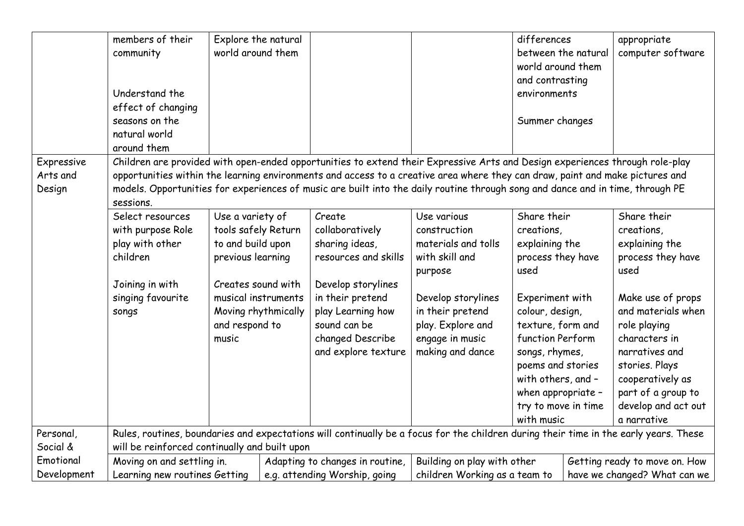|                                  | members of their<br>community<br>Understand the<br>effect of changing<br>seasons on the<br>natural world<br>around them                                                                                                                                                                                                                                                                                      | Explore the natural<br>world around them                                                                                                                                         |                               |                                                                                                                                                                                               |                                                                                                                                                                                       | differences<br>between the natural<br>world around them<br>and contrasting<br>environments<br>Summer changes                                                                                                                                                                    |  | appropriate<br>computer software                                                                                                                                                                                                                          |
|----------------------------------|--------------------------------------------------------------------------------------------------------------------------------------------------------------------------------------------------------------------------------------------------------------------------------------------------------------------------------------------------------------------------------------------------------------|----------------------------------------------------------------------------------------------------------------------------------------------------------------------------------|-------------------------------|-----------------------------------------------------------------------------------------------------------------------------------------------------------------------------------------------|---------------------------------------------------------------------------------------------------------------------------------------------------------------------------------------|---------------------------------------------------------------------------------------------------------------------------------------------------------------------------------------------------------------------------------------------------------------------------------|--|-----------------------------------------------------------------------------------------------------------------------------------------------------------------------------------------------------------------------------------------------------------|
| Expressive<br>Arts and<br>Design | Children are provided with open-ended opportunities to extend their Expressive Arts and Design experiences through role-play<br>opportunities within the learning environments and access to a creative area where they can draw, paint and make pictures and<br>models. Opportunities for experiences of music are built into the daily routine through song and dance and in time, through PE<br>sessions. |                                                                                                                                                                                  |                               |                                                                                                                                                                                               |                                                                                                                                                                                       |                                                                                                                                                                                                                                                                                 |  |                                                                                                                                                                                                                                                           |
|                                  | Select resources<br>with purpose Role<br>play with other<br>children<br>Joining in with<br>singing favourite<br>songs                                                                                                                                                                                                                                                                                        | Use a variety of<br>tools safely Return<br>to and build upon<br>previous learning<br>Creates sound with<br>musical instruments<br>Moving rhythmically<br>and respond to<br>music |                               | Create<br>collaboratively<br>sharing ideas,<br>resources and skills<br>Develop storylines<br>in their pretend<br>play Learning how<br>sound can be<br>changed Describe<br>and explore texture | Use various<br>construction<br>materials and tolls<br>with skill and<br>purpose<br>Develop storylines<br>in their pretend<br>play. Explore and<br>engage in music<br>making and dance | Share their<br>creations,<br>explaining the<br>process they have<br>used<br>Experiment with<br>colour, design,<br>texture, form and<br>function Perform<br>songs, rhymes,<br>poems and stories<br>with others, and -<br>when appropriate -<br>try to move in time<br>with music |  | Share their<br>creations,<br>explaining the<br>process they have<br>used<br>Make use of props<br>and materials when<br>role playing<br>characters in<br>narratives and<br>stories. Plays<br>cooperatively as<br>part of a group to<br>develop and act out |
| Personal,                        |                                                                                                                                                                                                                                                                                                                                                                                                              |                                                                                                                                                                                  |                               |                                                                                                                                                                                               | Rules, routines, boundaries and expectations will continually be a focus for the children during their time in the early years. These                                                 |                                                                                                                                                                                                                                                                                 |  | a narrative                                                                                                                                                                                                                                               |
| Social &                         | will be reinforced continually and built upon                                                                                                                                                                                                                                                                                                                                                                |                                                                                                                                                                                  |                               |                                                                                                                                                                                               |                                                                                                                                                                                       |                                                                                                                                                                                                                                                                                 |  |                                                                                                                                                                                                                                                           |
| Emotional                        |                                                                                                                                                                                                                                                                                                                                                                                                              | Moving on and settling in.<br>Building on play with other<br>Adapting to changes in routine,<br>Getting ready to move on. How                                                    |                               |                                                                                                                                                                                               |                                                                                                                                                                                       |                                                                                                                                                                                                                                                                                 |  |                                                                                                                                                                                                                                                           |
| Development                      | Learning new routines Getting                                                                                                                                                                                                                                                                                                                                                                                |                                                                                                                                                                                  | e.g. attending Worship, going | children Working as a team to                                                                                                                                                                 |                                                                                                                                                                                       | have we changed? What can we                                                                                                                                                                                                                                                    |  |                                                                                                                                                                                                                                                           |